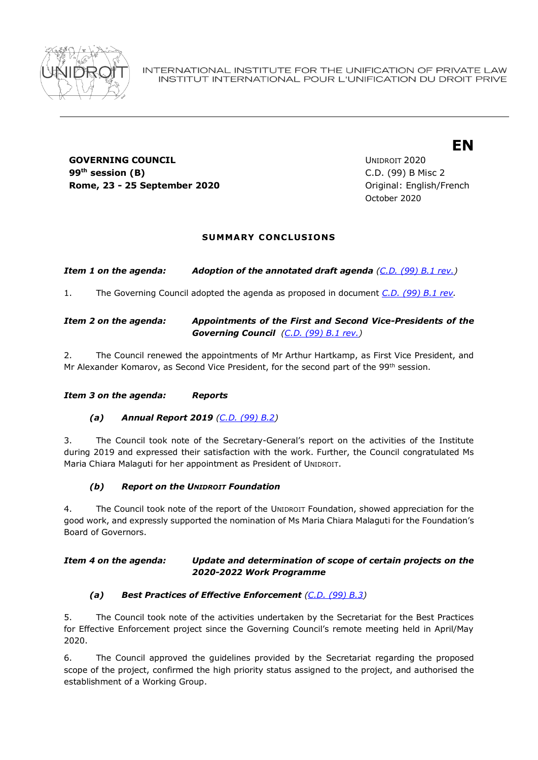

# **GOVERNING COUNCIL COUNCIL COUNCIL COUNCIL COUNCIL COUNCIL COUNCIL** 99<sup>th</sup> session (B) **Rome, 23 - 25 September 2020 Communication Communication Communication Communication Communication Communication Communication Communication Communication Communication Communication Communication Communication Communic**

**th session (B)** C.D. (99) B Misc 2 October 2020

**EN**

## **SUMMARY CONCLUSIONS**

*Item 1 on the agenda: Adoption of the annotated draft agenda [\(C.D. \(99\) B.1 rev.\)](https://www.unidroit.org/english/governments/councildocuments/2020session/cd-99-b/cd-99-b-10-rev-e.pdf)*

1. The Governing Council adopted the agenda as proposed in document *[C.D. \(99\) B.1 rev.](https://www.unidroit.org/english/governments/councildocuments/2020session/cd-99-b/cd-99-b-10-rev-e.pdf)*

## *Item 2 on the agenda: Appointments of the First and Second Vice-Presidents of the Governing Council [\(C.D. \(99\) B.1 rev.\)](https://www.unidroit.org/english/governments/councildocuments/2020session/cd-99-b/cd-99-b-10-rev-e.pdf)*

2. The Council renewed the appointments of Mr Arthur Hartkamp, as First Vice President, and Mr Alexander Komarov, as Second Vice President, for the second part of the 99<sup>th</sup> session.

#### *Item 3 on the agenda: Reports*

## *(a) Annual Report 2019 [\(C.D. \(99\) B.2\)](https://www.unidroit.org/english/governments/councildocuments/2020session/cd-99-b/cd-99-b-02-e.pdf)*

3. The Council took note of the Secretary-General's report on the activities of the Institute during 2019 and expressed their satisfaction with the work. Further, the Council congratulated Ms Maria Chiara Malaguti for her appointment as President of UNIDROIT.

## *(b) Report on the UNIDROIT Foundation*

4. The Council took note of the report of the UNIDROIT Foundation, showed appreciation for the good work, and expressly supported the nomination of Ms Maria Chiara Malaguti for the Foundation's Board of Governors.

#### *Item 4 on the agenda: Update and determination of scope of certain projects on the 2020-2022 Work Programme*

## *(a) Best Practices of Effective Enforcement [\(C.D. \(99\) B.3\)](https://www.unidroit.org/english/governments/councildocuments/2020session/cd-99-b/cd-99-b-03-e.pdf)*

5. The Council took note of the activities undertaken by the Secretariat for the Best Practices for Effective Enforcement project since the Governing Council's remote meeting held in April/May 2020.

6. The Council approved the guidelines provided by the Secretariat regarding the proposed scope of the project, confirmed the high priority status assigned to the project, and authorised the establishment of a Working Group.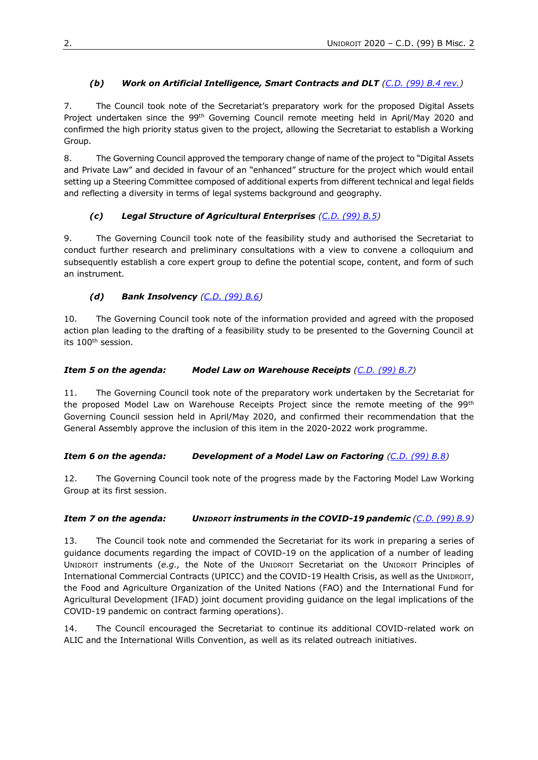# *(b) Work on Artificial Intelligence, Smart Contracts and DLT [\(C.D. \(99\) B.4](https://www.unidroit.org/english/governments/councildocuments/2020session/cd-99-b/cd-99-b-04-rev-e.pdf) rev.)*

7. The Council took note of the Secretariat's preparatory work for the proposed Digital Assets Project undertaken since the 99<sup>th</sup> Governing Council remote meeting held in April/May 2020 and confirmed the high priority status given to the project, allowing the Secretariat to establish a Working Group.

8. The Governing Council approved the temporary change of name of the project to "Digital Assets and Private Law" and decided in favour of an "enhanced" structure for the project which would entail setting up a Steering Committee composed of additional experts from different technical and legal fields and reflecting a diversity in terms of legal systems background and geography.

# *(c) Legal Structure of Agricultural Enterprises [\(C.D. \(99\) B.5\)](https://www.unidroit.org/english/governments/councildocuments/2020session/cd-99-b/cd-99-b-05-e.pdf)*

9. The Governing Council took note of the feasibility study and authorised the Secretariat to conduct further research and preliminary consultations with a view to convene a colloquium and subsequently establish a core expert group to define the potential scope, content, and form of such an instrument.

## *(d) Bank Insolvency [\(C.D. \(99\) B.6\)](https://www.unidroit.org/english/governments/councildocuments/2020session/cd-99-b/cd-99-b-06-e.pdf)*

10. The Governing Council took note of the information provided and agreed with the proposed action plan leading to the drafting of a feasibility study to be presented to the Governing Council at its 100th session.

## *Item 5 on the agenda: Model Law on Warehouse Receipts [\(C.D. \(99\) B.7\)](https://www.unidroit.org/english/governments/councildocuments/2020session/cd-99-b/cd-99-b-07-e.pdf)*

11. The Governing Council took note of the preparatory work undertaken by the Secretariat for the proposed Model Law on Warehouse Receipts Project since the remote meeting of the 99<sup>th</sup> Governing Council session held in April/May 2020, and confirmed their recommendation that the General Assembly approve the inclusion of this item in the 2020-2022 work programme.

## *Item 6 on the agenda: Development of a Model Law on Factoring [\(C.D. \(99\) B.8\)](https://www.unidroit.org/english/governments/councildocuments/2020session/cd-99-b/cd-99-b-08-e.pdf)*

12. The Governing Council took note of the progress made by the Factoring Model Law Working Group at its first session.

## *Item 7 on the agenda: UNIDROIT instruments in the COVID-19 pandemic [\(C.D. \(99\) B.9\)](https://www.unidroit.org/english/governments/councildocuments/2020session/cd-99-b/cd-99-b-09-e.pdf)*

13. The Council took note and commended the Secretariat for its work in preparing a series of guidance documents regarding the impact of COVID-19 on the application of a number of leading UNIDROIT instruments (*e.g.,* the Note of the UNIDROIT Secretariat on the UNIDROIT Principles of International Commercial Contracts (UPICC) and the COVID-19 Health Crisis, as well as the UNIDROIT, the Food and Agriculture Organization of the United Nations (FAO) and the International Fund for Agricultural Development (IFAD) joint document providing guidance on the legal implications of the COVID-19 pandemic on contract farming operations).

14. The Council encouraged the Secretariat to continue its additional COVID-related work on ALIC and the International Wills Convention, as well as its related outreach initiatives.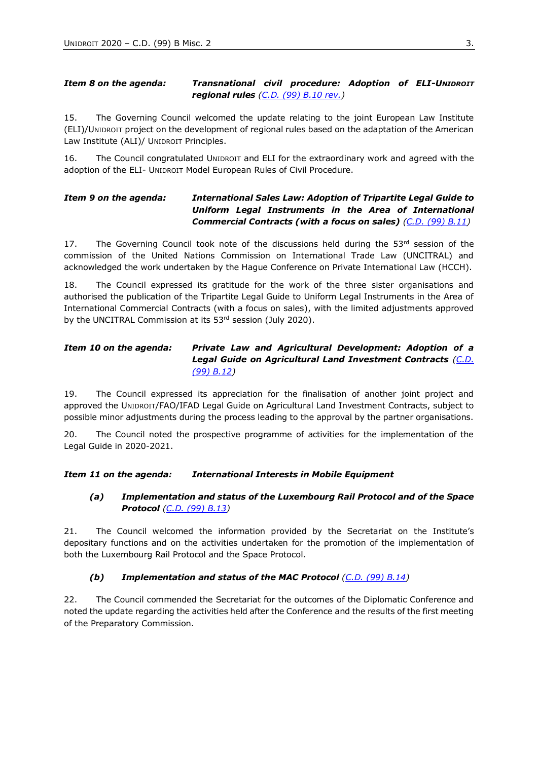#### *Item 8 on the agenda: Transnational civil procedure: Adoption of ELI-UNIDROIT regional rules [\(C.D. \(99\) B.10](https://www.unidroit.org/english/governments/councildocuments/2020session/cd-99-b/cd-99-b-10-rev-e.pdf) rev.)*

15. The Governing Council welcomed the update relating to the joint European Law Institute (ELI)/UNIDROIT project on the development of regional rules based on the adaptation of the American Law Institute (ALI)/ UNIDROIT Principles.

16. The Council congratulated UNIDROIT and ELI for the extraordinary work and agreed with the adoption of the ELI- UNIDROIT Model European Rules of Civil Procedure.

## *Item 9 on the agenda: International Sales Law: Adoption of Tripartite Legal Guide to Uniform Legal Instruments in the Area of International Commercial Contracts (with a focus on sales) [\(C.D. \(99\) B.11\)](https://www.unidroit.org/english/governments/councildocuments/2020session/cd-99-b/cd-99-b-11-e.pdf)*

17. The Governing Council took note of the discussions held during the  $53<sup>rd</sup>$  session of the commission of the United Nations Commission on International Trade Law (UNCITRAL) and acknowledged the work undertaken by the Hague Conference on Private International Law (HCCH).

18. The Council expressed its gratitude for the work of the three sister organisations and authorised the publication of the Tripartite Legal Guide to Uniform Legal Instruments in the Area of International Commercial Contracts (with a focus on sales), with the limited adjustments approved by the UNCITRAL Commission at its 53rd session (July 2020).

## *Item 10 on the agenda: Private Law and Agricultural Development: Adoption of a Legal Guide on Agricultural Land Investment Contracts [\(C.D.](https://www.unidroit.org/english/governments/councildocuments/2020session/cd-99-b/cd-99-b-12-e.pdf)  [\(99\) B.12\)](https://www.unidroit.org/english/governments/councildocuments/2020session/cd-99-b/cd-99-b-12-e.pdf)*

19. The Council expressed its appreciation for the finalisation of another joint project and approved the UNIDROIT/FAO/IFAD Legal Guide on Agricultural Land Investment Contracts, subject to possible minor adjustments during the process leading to the approval by the partner organisations.

20. The Council noted the prospective programme of activities for the implementation of the Legal Guide in 2020-2021.

*Item 11 on the agenda: International Interests in Mobile Equipment*

#### *(a) Implementation and status of the Luxembourg Rail Protocol and of the Space Protocol [\(C.D. \(99\) B.13\)](https://www.unidroit.org/english/governments/councildocuments/2020session/cd-99-b/cd-99-b-13-e.pdf)*

21. The Council welcomed the information provided by the Secretariat on the Institute's depositary functions and on the activities undertaken for the promotion of the implementation of both the Luxembourg Rail Protocol and the Space Protocol.

## *(b) Implementation and status of the MAC Protocol [\(C.D. \(99\) B.14\)](https://www.unidroit.org/english/governments/councildocuments/2020session/cd-99-b/cd-99-b-14-e.pdf)*

22. The Council commended the Secretariat for the outcomes of the Diplomatic Conference and noted the update regarding the activities held after the Conference and the results of the first meeting of the Preparatory Commission.